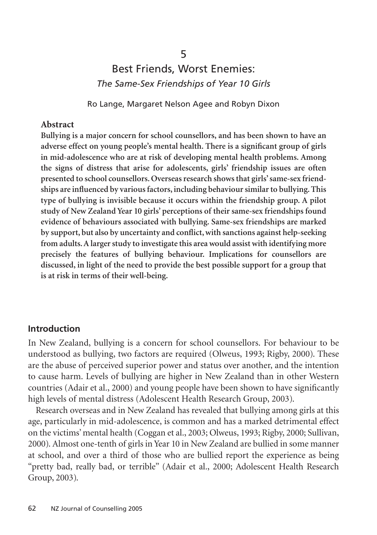# Best Friends, Worst Enemies: *The Same-Sex Friendships of Year 10 Girls*

5

Ro Lange, Margaret Nelson Agee and Robyn Dixon

#### **Abstract**

**Bullying is a major concern for school counsellors, and has been shown to have an adverse effect on young people's mental health. There is a significant group of girls in mid-adolescence who are at risk of developing mental health problems. Among the signs of distress that arise for adolescents, girls' friendship issues are often presented to school counsellors. Overseas research shows that girls' same-sex friendships are influenced by various factors, including behaviour similar to bullying. This type of bullying is invisible because it occurs within the friendship group. A pilot study of New Zealand Year 10 girls' perceptions of their same-sex friendships found evidence of behaviours associated with bullying. Same-sex friendships are marked by support, but also by uncertainty and conflict, with sanctions against help-seeking from adults. A larger study to investigate this area would assist with identifying more precisely the features of bullying behaviour. Implications for counsellors are discussed, in light of the need to provide the best possible support for a group that is at risk in terms of their well-being.**

#### **Introduction**

In New Zealand, bullying is a concern for school counsellors. For behaviour to be understood as bullying, two factors are required (Olweus, 1993; Rigby, 2000). These are the abuse of perceived superior power and status over another, and the intention to cause harm. Levels of bullying are higher in New Zealand than in other Western countries (Adair et al., 2000) and young people have been shown to have significantly high levels of mental distress (Adolescent Health Research Group, 2003).

Research overseas and in New Zealand has revealed that bullying among girls at this age, particularly in mid-adolescence, is common and has a marked detrimental effect on the victims' mental health (Coggan et al., 2003; Olweus, 1993; Rigby, 2000; Sullivan, 2000). Almost one-tenth of girls in Year 10 in New Zealand are bullied in some manner at school, and over a third of those who are bullied report the experience as being "pretty bad, really bad, or terrible" (Adair et al., 2000; Adolescent Health Research Group, 2003).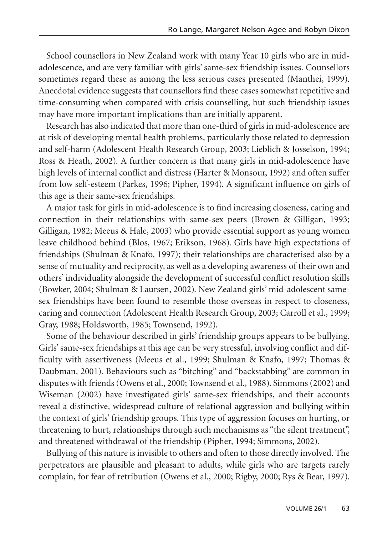School counsellors in New Zealand work with many Year 10 girls who are in midadolescence, and are very familiar with girls' same-sex friendship issues. Counsellors sometimes regard these as among the less serious cases presented (Manthei, 1999). Anecdotal evidence suggests that counsellors find these cases somewhat repetitive and time-consuming when compared with crisis counselling, but such friendship issues may have more important implications than are initially apparent.

Research has also indicated that more than one-third of girls in mid-adolescence are at risk of developing mental health problems, particularly those related to depression and self-harm (Adolescent Health Research Group, 2003; Lieblich & Josselson, 1994; Ross & Heath, 2002). A further concern is that many girls in mid-adolescence have high levels of internal conflict and distress (Harter & Monsour, 1992) and often suffer from low self-esteem (Parkes, 1996; Pipher, 1994). A significant influence on girls of this age is their same-sex friendships.

A major task for girls in mid-adolescence is to find increasing closeness, caring and connection in their relationships with same-sex peers (Brown & Gilligan, 1993; Gilligan, 1982; Meeus & Hale, 2003) who provide essential support as young women leave childhood behind (Blos, 1967; Erikson, 1968). Girls have high expectations of friendships (Shulman & Knafo, 1997); their relationships are characterised also by a sense of mutuality and reciprocity, as well as a developing awareness of their own and others' individuality alongside the development of successful conflict resolution skills (Bowker, 2004; Shulman & Laursen, 2002). New Zealand girls' mid-adolescent samesex friendships have been found to resemble those overseas in respect to closeness, caring and connection (Adolescent Health Research Group, 2003; Carroll et al., 1999; Gray, 1988; Holdsworth, 1985; Townsend, 1992).

Some of the behaviour described in girls' friendship groups appears to be bullying. Girls' same-sex friendships at this age can be very stressful, involving conflict and difficulty with assertiveness (Meeus et al., 1999; Shulman & Knafo, 1997; Thomas & Daubman, 2001). Behaviours such as "bitching" and "backstabbing" are common in disputes with friends (Owens et al., 2000; Townsend et al., 1988). Simmons (2002) and Wiseman (2002) have investigated girls' same-sex friendships, and their accounts reveal a distinctive, widespread culture of relational aggression and bullying within the context of girls' friendship groups. This type of aggression focuses on hurting, or threatening to hurt, relationships through such mechanisms as "the silent treatment", and threatened withdrawal of the friendship (Pipher, 1994; Simmons, 2002).

Bullying of this nature is invisible to others and often to those directly involved. The perpetrators are plausible and pleasant to adults, while girls who are targets rarely complain, for fear of retribution (Owens et al., 2000; Rigby, 2000; Rys & Bear, 1997).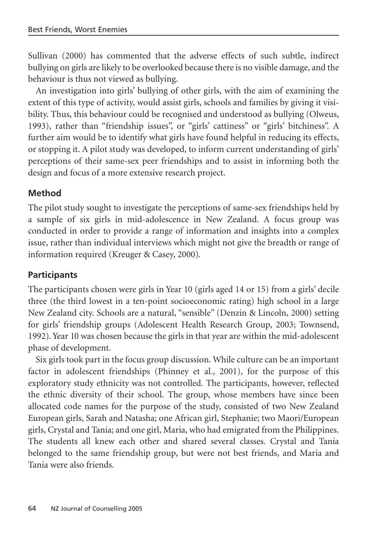Sullivan (2000) has commented that the adverse effects of such subtle, indirect bullying on girls are likely to be overlooked because there is no visible damage, and the behaviour is thus not viewed as bullying.

An investigation into girls' bullying of other girls, with the aim of examining the extent of this type of activity, would assist girls, schools and families by giving it visibility. Thus, this behaviour could be recognised and understood as bullying (Olweus, 1993), rather than "friendship issues", or "girls' cattiness" or "girls' bitchiness". A further aim would be to identify what girls have found helpful in reducing its effects, or stopping it. A pilot study was developed, to inform current understanding of girls' perceptions of their same-sex peer friendships and to assist in informing both the design and focus of a more extensive research project.

## **Method**

The pilot study sought to investigate the perceptions of same-sex friendships held by a sample of six girls in mid-adolescence in New Zealand. A focus group was conducted in order to provide a range of information and insights into a complex issue, rather than individual interviews which might not give the breadth or range of information required (Kreuger & Casey, 2000).

# **Participants**

The participants chosen were girls in Year 10 (girls aged 14 or 15) from a girls' decile three (the third lowest in a ten-point socioeconomic rating) high school in a large New Zealand city. Schools are a natural, "sensible" (Denzin & Lincoln, 2000) setting for girls' friendship groups (Adolescent Health Research Group, 2003; Townsend, 1992). Year 10 was chosen because the girls in that year are within the mid-adolescent phase of development.

Six girls took part in the focus group discussion. While culture can be an important factor in adolescent friendships (Phinney et al., 2001), for the purpose of this exploratory study ethnicity was not controlled. The participants, however, reflected the ethnic diversity of their school. The group, whose members have since been allocated code names for the purpose of the study, consisted of two New Zealand European girls, Sarah and Natasha; one African girl, Stephanie; two Maori/European girls, Crystal and Tania; and one girl, Maria, who had emigrated from the Philippines. The students all knew each other and shared several classes. Crystal and Tania belonged to the same friendship group, but were not best friends, and Maria and Tania were also friends.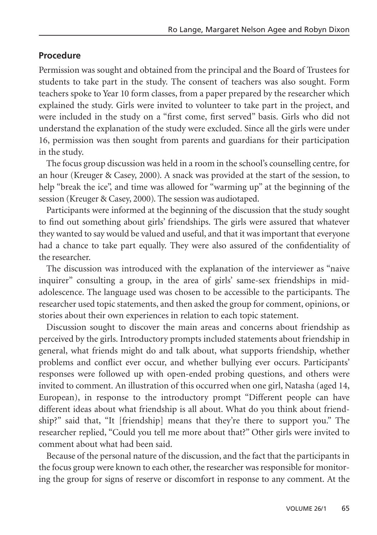#### **Procedure**

Permission was sought and obtained from the principal and the Board of Trustees for students to take part in the study. The consent of teachers was also sought. Form teachers spoke to Year 10 form classes, from a paper prepared by the researcher which explained the study. Girls were invited to volunteer to take part in the project, and were included in the study on a "first come, first served" basis. Girls who did not understand the explanation of the study were excluded. Since all the girls were under 16, permission was then sought from parents and guardians for their participation in the study.

The focus group discussion was held in a room in the school's counselling centre, for an hour (Kreuger & Casey, 2000). A snack was provided at the start of the session, to help "break the ice", and time was allowed for "warming up" at the beginning of the session (Kreuger & Casey, 2000). The session was audiotaped.

Participants were informed at the beginning of the discussion that the study sought to find out something about girls' friendships. The girls were assured that whatever they wanted to say would be valued and useful, and that it was important that everyone had a chance to take part equally. They were also assured of the confidentiality of the researcher.

The discussion was introduced with the explanation of the interviewer as "naive inquirer" consulting a group, in the area of girls' same-sex friendships in midadolescence. The language used was chosen to be accessible to the participants. The researcher used topic statements, and then asked the group for comment, opinions, or stories about their own experiences in relation to each topic statement.

Discussion sought to discover the main areas and concerns about friendship as perceived by the girls. Introductory prompts included statements about friendship in general, what friends might do and talk about, what supports friendship, whether problems and conflict ever occur, and whether bullying ever occurs. Participants' responses were followed up with open-ended probing questions, and others were invited to comment. An illustration of this occurred when one girl, Natasha (aged 14, European), in response to the introductory prompt "Different people can have different ideas about what friendship is all about. What do you think about friendship?" said that, "It [friendship] means that they're there to support you." The researcher replied, "Could you tell me more about that?" Other girls were invited to comment about what had been said.

Because of the personal nature of the discussion, and the fact that the participants in the focus group were known to each other, the researcher was responsible for monitoring the group for signs of reserve or discomfort in response to any comment. At the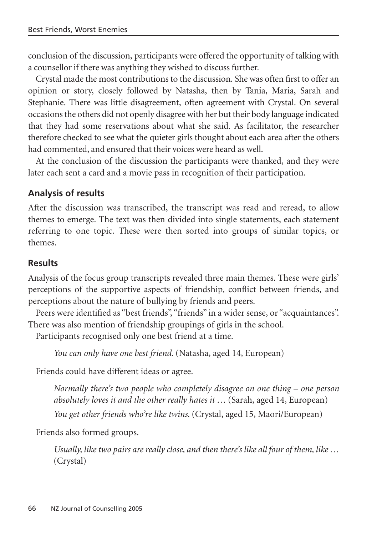conclusion of the discussion, participants were offered the opportunity of talking with a counsellor if there was anything they wished to discuss further.

Crystal made the most contributions to the discussion. She was often first to offer an opinion or story, closely followed by Natasha, then by Tania, Maria, Sarah and Stephanie. There was little disagreement, often agreement with Crystal. On several occasions the others did not openly disagree with her but their body language indicated that they had some reservations about what she said. As facilitator, the researcher therefore checked to see what the quieter girls thought about each area after the others had commented, and ensured that their voices were heard as well.

At the conclusion of the discussion the participants were thanked, and they were later each sent a card and a movie pass in recognition of their participation.

## **Analysis of results**

After the discussion was transcribed, the transcript was read and reread, to allow themes to emerge. The text was then divided into single statements, each statement referring to one topic. These were then sorted into groups of similar topics, or themes.

#### **Results**

Analysis of the focus group transcripts revealed three main themes. These were girls' perceptions of the supportive aspects of friendship, conflict between friends, and perceptions about the nature of bullying by friends and peers.

Peers were identified as "best friends", "friends" in a wider sense, or "acquaintances". There was also mention of friendship groupings of girls in the school.

Participants recognised only one best friend at a time.

*You can only have one best friend.* (Natasha, aged 14, European)

Friends could have different ideas or agree.

*Normally there's two people who completely disagree on one thing – one person absolutely loves it and the other really hates it …* (Sarah, aged 14, European) *You get other friends who're like twins.* (Crystal, aged 15, Maori/European)

Friends also formed groups.

*Usually, like two pairs are really close, and then there's like all four of them, like …* (Crystal)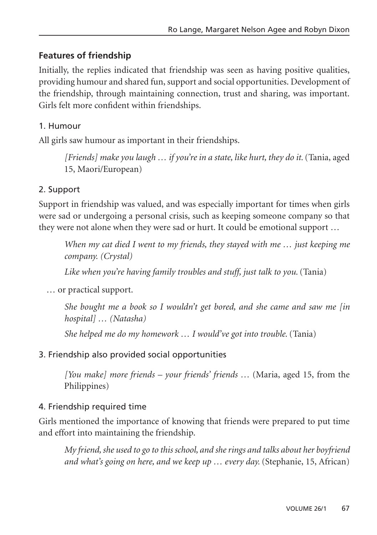# **Features of friendship**

Initially, the replies indicated that friendship was seen as having positive qualities, providing humour and shared fun, support and social opportunities. Development of the friendship, through maintaining connection, trust and sharing, was important. Girls felt more confident within friendships.

## 1. Humour

All girls saw humour as important in their friendships.

*[Friends] make you laugh … if you're in a state, like hurt, they do it.*(Tania, aged 15, Maori/European)

## 2. Support

Support in friendship was valued, and was especially important for times when girls were sad or undergoing a personal crisis, such as keeping someone company so that they were not alone when they were sad or hurt. It could be emotional support …

*When my cat died I went to my friends, they stayed with me … just keeping me company. (Crystal)*

*Like when you're having family troubles and stuff, just talk to you.*(Tania)

… or practical support.

*She bought me a book so I wouldn't get bored, and she came and saw me [in hospital] … (Natasha)* 

*She helped me do my homework … I would've got into trouble.* (Tania)

## 3. Friendship also provided social opportunities

*[You make] more friends – your friends' friends …* (Maria, aged 15, from the Philippines)

# 4. Friendship required time

Girls mentioned the importance of knowing that friends were prepared to put time and effort into maintaining the friendship.

*My friend, she used to go to this school, and she rings and talks about her boyfriend and what's going on here, and we keep up … every day.* (Stephanie, 15, African)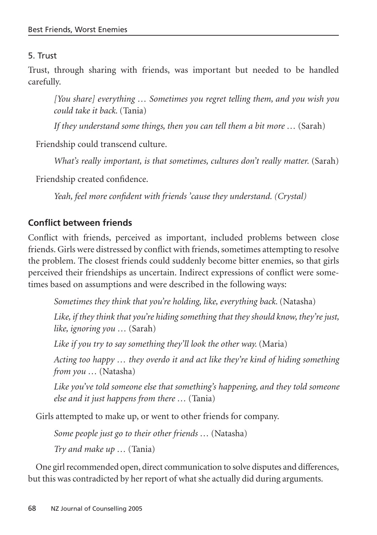## 5. Trust

Trust, through sharing with friends, was important but needed to be handled carefully.

*[You share] everything … Sometimes you regret telling them, and you wish you could take it back.* (Tania)

*If they understand some things, then you can tell them a bit more …* (Sarah)

Friendship could transcend culture.

*What's really important, is that sometimes, cultures don't really matter.* (Sarah)

Friendship created confidence.

*Yeah, feel more confident with friends 'cause they understand. (Crystal)*

# **Conflict between friends**

Conflict with friends, perceived as important, included problems between close friends. Girls were distressed by conflict with friends, sometimes attempting to resolve the problem. The closest friends could suddenly become bitter enemies, so that girls perceived their friendships as uncertain. Indirect expressions of conflict were sometimes based on assumptions and were described in the following ways:

*Sometimes they think that you're holding, like, everything back.* (Natasha)

*Like, if they think that you're hiding something that they should know, they're just, like, ignoring you …* (Sarah)

*Like if you try to say something they'll look the other way.* (Maria)

*Acting too happy … they overdo it and act like they're kind of hiding something from you …* (Natasha)

*Like you've told someone else that something's happening, and they told someone else and it just happens from there …* (Tania)

Girls attempted to make up, or went to other friends for company.

*Some people just go to their other friends …* (Natasha) *Try and make up …* (Tania)

One girl recommended open, direct communication to solve disputes and differences, but this was contradicted by her report of what she actually did during arguments.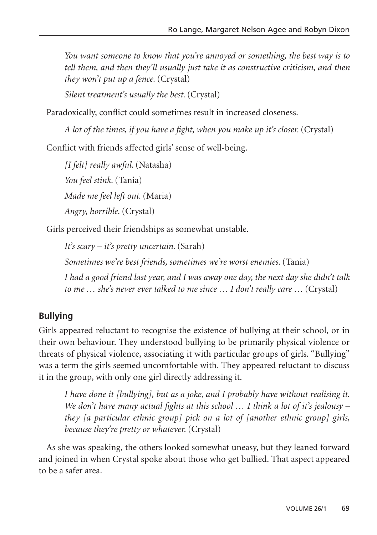*You want someone to know that you're annoyed or something, the best way is to tell them, and then they'll usually just take it as constructive criticism, and then they won't put up a fence.* (Crystal)

*Silent treatment's usually the best.* (Crystal)

Paradoxically, conflict could sometimes result in increased closeness.

*A lot of the times, if you have a fight, when you make up it's closer.* (Crystal)

Conflict with friends affected girls' sense of well-being.

*[I felt] really awful.* (Natasha) *You feel stink.* (Tania) *Made me feel left out.* (Maria) *Angry, horrible.* (Crystal)

Girls perceived their friendships as somewhat unstable.

*It's scary – it's pretty uncertain.* (Sarah) *Sometimes we're best friends, sometimes we're worst enemies.* (Tania) *I had a good friend last year, and I was away one day, the next day she didn't talk to me … she's never ever talked to me since … I don't really care …* (Crystal)

# **Bullying**

Girls appeared reluctant to recognise the existence of bullying at their school, or in their own behaviour. They understood bullying to be primarily physical violence or threats of physical violence, associating it with particular groups of girls. "Bullying" was a term the girls seemed uncomfortable with. They appeared reluctant to discuss it in the group, with only one girl directly addressing it.

*I have done it [bullying], but as a joke, and I probably have without realising it. We don't have many actual fights at this school … I think a lot of it's jealousy – they [a particular ethnic group] pick on a lot of [another ethnic group] girls, because they're pretty or whatever.* (Crystal)

As she was speaking, the others looked somewhat uneasy, but they leaned forward and joined in when Crystal spoke about those who get bullied. That aspect appeared to be a safer area.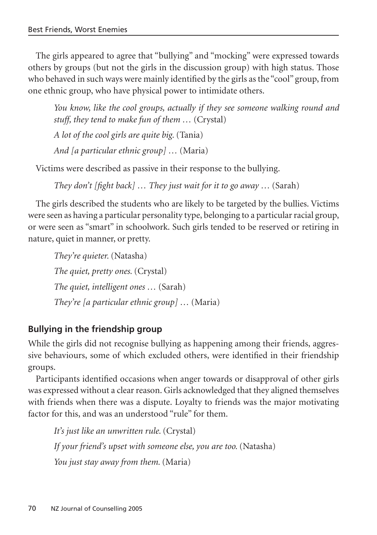The girls appeared to agree that "bullying" and "mocking" were expressed towards others by groups (but not the girls in the discussion group) with high status. Those who behaved in such ways were mainly identified by the girls as the "cool" group, from one ethnic group, who have physical power to intimidate others.

*You know, like the cool groups, actually if they see someone walking round and stuff, they tend to make fun of them …* (Crystal) *A lot of the cool girls are quite big.* (Tania) *And [a particular ethnic group] …* (Maria)

Victims were described as passive in their response to the bullying.

*They don't [fight back]* ... *They just wait for it to go away* ... *(Sarah)* 

The girls described the students who are likely to be targeted by the bullies. Victims were seen as having a particular personality type, belonging to a particular racial group, or were seen as "smart" in schoolwork. Such girls tended to be reserved or retiring in nature, quiet in manner, or pretty.

*They're quieter.* (Natasha) *The quiet, pretty ones.* (Crystal) *The quiet, intelligent ones …* (Sarah) *They're [a particular ethnic group] …* (Maria)

#### **Bullying in the friendship group**

While the girls did not recognise bullying as happening among their friends, aggressive behaviours, some of which excluded others, were identified in their friendship groups.

Participants identified occasions when anger towards or disapproval of other girls was expressed without a clear reason. Girls acknowledged that they aligned themselves with friends when there was a dispute. Loyalty to friends was the major motivating factor for this, and was an understood "rule" for them.

*It's just like an unwritten rule.* (Crystal) *If your friend's upset with someone else, you are too.* (Natasha) *You just stay away from them.* (Maria)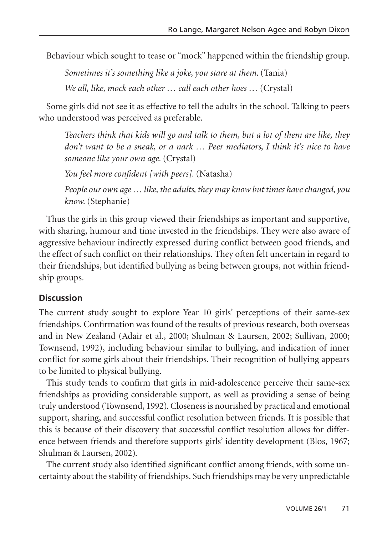Behaviour which sought to tease or "mock" happened within the friendship group.

*Sometimes it's something like a joke, you stare at them.* (Tania)

*We all, like, mock each other … call each other hoes …* (Crystal)

Some girls did not see it as effective to tell the adults in the school. Talking to peers who understood was perceived as preferable.

*Teachers think that kids will go and talk to them, but a lot of them are like, they don't want to be a sneak, or a nark … Peer mediators, I think it's nice to have someone like your own age.* (Crystal)

*You feel more confident [with peers].* (Natasha)

*People our own age … like, the adults, they may know but times have changed, you know.* (Stephanie)

Thus the girls in this group viewed their friendships as important and supportive, with sharing, humour and time invested in the friendships. They were also aware of aggressive behaviour indirectly expressed during conflict between good friends, and the effect of such conflict on their relationships. They often felt uncertain in regard to their friendships, but identified bullying as being between groups, not within friendship groups.

#### **Discussion**

The current study sought to explore Year 10 girls' perceptions of their same-sex friendships. Confirmation was found of the results of previous research, both overseas and in New Zealand (Adair et al., 2000; Shulman & Laursen, 2002; Sullivan, 2000; Townsend, 1992), including behaviour similar to bullying, and indication of inner conflict for some girls about their friendships. Their recognition of bullying appears to be limited to physical bullying.

This study tends to confirm that girls in mid-adolescence perceive their same-sex friendships as providing considerable support, as well as providing a sense of being truly understood (Townsend, 1992). Closeness is nourished by practical and emotional support, sharing, and successful conflict resolution between friends. It is possible that this is because of their discovery that successful conflict resolution allows for difference between friends and therefore supports girls' identity development (Blos, 1967; Shulman & Laursen, 2002).

The current study also identified significant conflict among friends, with some uncertainty about the stability of friendships. Such friendships may be very unpredictable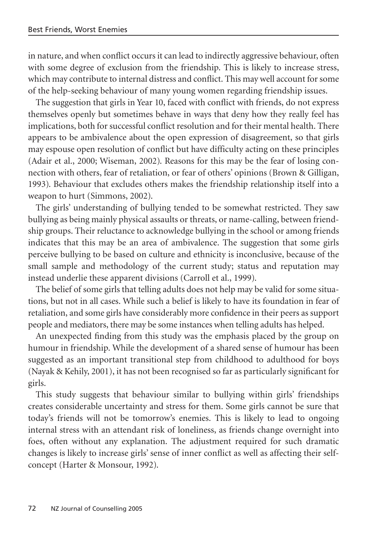in nature, and when conflict occurs it can lead to indirectly aggressive behaviour, often with some degree of exclusion from the friendship. This is likely to increase stress, which may contribute to internal distress and conflict. This may well account for some of the help-seeking behaviour of many young women regarding friendship issues.

The suggestion that girls in Year 10, faced with conflict with friends, do not express themselves openly but sometimes behave in ways that deny how they really feel has implications, both for successful conflict resolution and for their mental health. There appears to be ambivalence about the open expression of disagreement, so that girls may espouse open resolution of conflict but have difficulty acting on these principles (Adair et al., 2000; Wiseman, 2002). Reasons for this may be the fear of losing connection with others, fear of retaliation, or fear of others' opinions (Brown & Gilligan, 1993). Behaviour that excludes others makes the friendship relationship itself into a weapon to hurt (Simmons, 2002).

The girls' understanding of bullying tended to be somewhat restricted. They saw bullying as being mainly physical assaults or threats, or name-calling, between friendship groups. Their reluctance to acknowledge bullying in the school or among friends indicates that this may be an area of ambivalence. The suggestion that some girls perceive bullying to be based on culture and ethnicity is inconclusive, because of the small sample and methodology of the current study; status and reputation may instead underlie these apparent divisions (Carroll et al., 1999).

The belief of some girls that telling adults does not help may be valid for some situations, but not in all cases. While such a belief is likely to have its foundation in fear of retaliation, and some girls have considerably more confidence in their peers as support people and mediators, there may be some instances when telling adults has helped.

An unexpected finding from this study was the emphasis placed by the group on humour in friendship. While the development of a shared sense of humour has been suggested as an important transitional step from childhood to adulthood for boys (Nayak & Kehily, 2001), it has not been recognised so far as particularly significant for girls.

This study suggests that behaviour similar to bullying within girls' friendships creates considerable uncertainty and stress for them. Some girls cannot be sure that today's friends will not be tomorrow's enemies. This is likely to lead to ongoing internal stress with an attendant risk of loneliness, as friends change overnight into foes, often without any explanation. The adjustment required for such dramatic changes is likely to increase girls' sense of inner conflict as well as affecting their selfconcept (Harter & Monsour, 1992).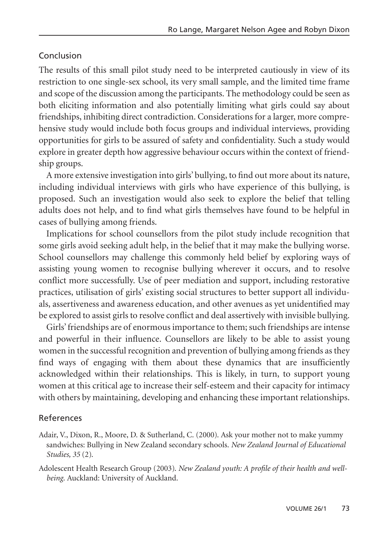#### Conclusion

The results of this small pilot study need to be interpreted cautiously in view of its restriction to one single-sex school, its very small sample, and the limited time frame and scope of the discussion among the participants. The methodology could be seen as both eliciting information and also potentially limiting what girls could say about friendships, inhibiting direct contradiction. Considerations for a larger, more comprehensive study would include both focus groups and individual interviews, providing opportunities for girls to be assured of safety and confidentiality. Such a study would explore in greater depth how aggressive behaviour occurs within the context of friendship groups.

A more extensive investigation into girls' bullying, to find out more about its nature, including individual interviews with girls who have experience of this bullying, is proposed. Such an investigation would also seek to explore the belief that telling adults does not help, and to find what girls themselves have found to be helpful in cases of bullying among friends.

Implications for school counsellors from the pilot study include recognition that some girls avoid seeking adult help, in the belief that it may make the bullying worse. School counsellors may challenge this commonly held belief by exploring ways of assisting young women to recognise bullying wherever it occurs, and to resolve conflict more successfully. Use of peer mediation and support, including restorative practices, utilisation of girls' existing social structures to better support all individuals, assertiveness and awareness education, and other avenues as yet unidentified may be explored to assist girls to resolve conflict and deal assertively with invisible bullying.

Girls' friendships are of enormous importance to them; such friendships are intense and powerful in their influence. Counsellors are likely to be able to assist young women in the successful recognition and prevention of bullying among friends as they find ways of engaging with them about these dynamics that are insufficiently acknowledged within their relationships. This is likely, in turn, to support young women at this critical age to increase their self-esteem and their capacity for intimacy with others by maintaining, developing and enhancing these important relationships.

#### References

- Adair, V., Dixon, R., Moore, D. & Sutherland, C. (2000). Ask your mother not to make yummy sandwiches: Bullying in New Zealand secondary schools. *New Zealand Journal of Educational Studies, 35* (2).
- Adolescent Health Research Group (2003). *New Zealand youth: A profile of their health and wellbeing*. Auckland: University of Auckland.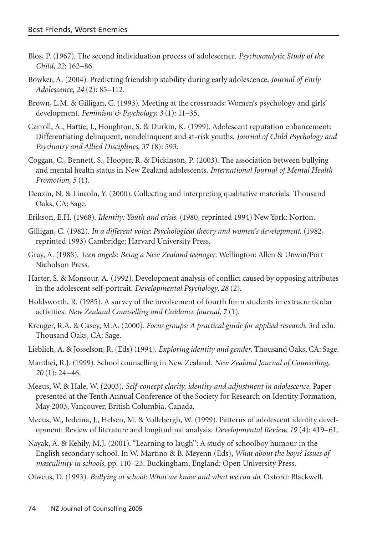- Blos, P. (1967). The second individuation process of adolescence. *Psychoanalytic Study of the Child, 22*: 162–86.
- Bowker, A. (2004). Predicting friendship stability during early adolescence. *Journal of Early Adolescence*, *24* (2): 85–112.
- Brown, L.M. & Gilligan, C. (1993). Meeting at the crossroads: Women's psychology and girls' development. *Feminism & Psychology, 3* (1): 11–35.
- Carroll, A., Hattie, J., Houghton, S. & Durkin, K. (1999). Adolescent reputation enhancement: Differentiating delinquent, nondelinquent and at-risk youths. *Journal of Child Psychology and Psychiatry and Allied Disciplines*, 37 (8): 593.
- Coggan, C., Bennett, S., Hooper, R. & Dickinson, P. (2003). The association between bullying and mental health status in New Zealand adolescents. *International Journal of Mental Health Promotion, 5* (1).
- Denzin, N. & Lincoln, Y. (2000). Collecting and interpreting qualitative materials. Thousand Oaks, CA: Sage.
- Erikson, E.H. (1968). *Identity: Youth and crisis*. (1980, reprinted 1994) New York: Norton.
- Gilligan, C. (1982). *In a different voice: Psychological theory and women's development*. (1982, reprinted 1993) Cambridge: Harvard University Press.
- Gray, A. (1988). *Teen angels: Being a New Zealand teenager*. Wellington: Allen & Unwin/Port Nicholson Press.
- Harter, S. & Monsour, A. (1992). Development analysis of conflict caused by opposing attributes in the adolescent self-portrait. *Developmental Psychology, 28* (2).
- Holdsworth, R. (1985). A survey of the involvement of fourth form students in extracurricular activities. *New Zealand Counselling and Guidance Journal, 7* (1).
- Kreuger, R.A. & Casey, M.A. (2000). *Focus groups: A practical guide for applied research*. 3rd edn. Thousand Oaks, CA: Sage.
- Lieblich, A. & Josselson, R. (Eds) (1994). *Exploring identity and gender*. Thousand Oaks, CA: Sage.
- Manthei, R.J. (1999). School counselling in New Zealand. *New Zealand Journal of Counselling, 20* (1): 24–46.
- Meeus, W. & Hale, W. (2003). *Self-concept clarity, identity and adjustment in adolescence.* Paper presented at the Tenth Annual Conference of the Society for Research on Identity Formation, May 2003, Vancouver, British Columbia, Canada.
- Meeus, W., Iedema, J., Helsen, M. & Vollebergh, W. (1999). Patterns of adolescent identity development: Review of literature and longitudinal analysis. *Developmental Review, 19* (4): 419–61.
- Nayak, A. & Kehily, M.J. (2001). "Learning to laugh": A study of schoolboy humour in the English secondary school. In W. Martino & B. Meyenn (Eds), *What about the boys? Issues of masculinity in schools*, pp. 110–23. Buckingham, England: Open University Press.
- Olweus, D. (1993). *Bullying at school: What we know and what we can do*. Oxford: Blackwell.